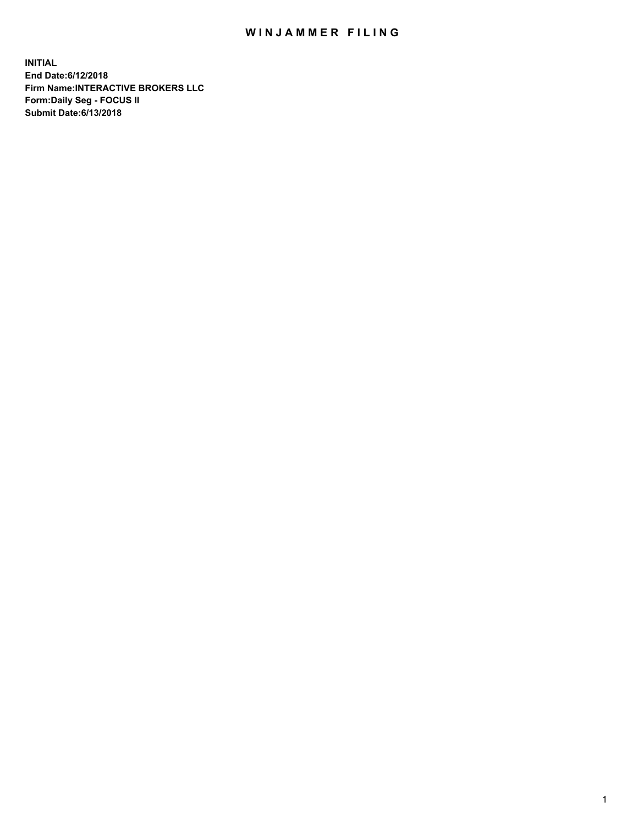## WIN JAMMER FILING

**INITIAL End Date:6/12/2018 Firm Name:INTERACTIVE BROKERS LLC Form:Daily Seg - FOCUS II Submit Date:6/13/2018**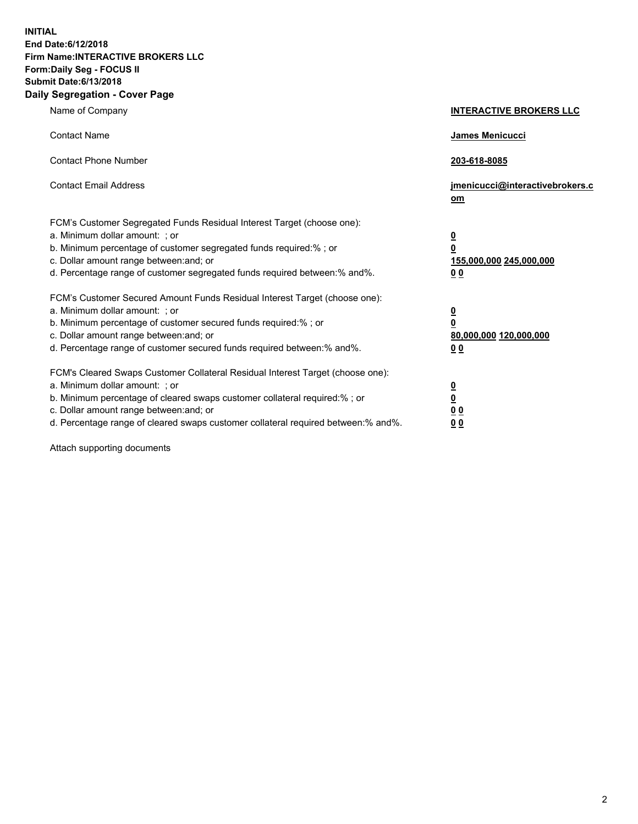**INITIAL End Date:6/12/2018 Firm Name:INTERACTIVE BROKERS LLC Form:Daily Seg - FOCUS II Submit Date:6/13/2018 Daily Segregation - Cover Page**

| Name of Company                                                                                                                                                                                                                                                                                                                | <b>INTERACTIVE BROKERS LLC</b>                                                                  |
|--------------------------------------------------------------------------------------------------------------------------------------------------------------------------------------------------------------------------------------------------------------------------------------------------------------------------------|-------------------------------------------------------------------------------------------------|
| <b>Contact Name</b>                                                                                                                                                                                                                                                                                                            | <b>James Menicucci</b>                                                                          |
| <b>Contact Phone Number</b>                                                                                                                                                                                                                                                                                                    | 203-618-8085                                                                                    |
| <b>Contact Email Address</b>                                                                                                                                                                                                                                                                                                   | jmenicucci@interactivebrokers.c<br>$om$                                                         |
| FCM's Customer Segregated Funds Residual Interest Target (choose one):<br>a. Minimum dollar amount: ; or<br>b. Minimum percentage of customer segregated funds required:% ; or<br>c. Dollar amount range between: and; or<br>d. Percentage range of customer segregated funds required between:% and%.                         | $\overline{\mathbf{0}}$<br>$\overline{\mathbf{0}}$<br>155,000,000 245,000,000<br>0 <sub>0</sub> |
| FCM's Customer Secured Amount Funds Residual Interest Target (choose one):<br>a. Minimum dollar amount: ; or<br>b. Minimum percentage of customer secured funds required:%; or<br>c. Dollar amount range between: and; or<br>d. Percentage range of customer secured funds required between:% and%.                            | $\overline{\mathbf{0}}$<br>$\overline{\mathbf{0}}$<br>80,000,000 120,000,000<br>0 <sub>0</sub>  |
| FCM's Cleared Swaps Customer Collateral Residual Interest Target (choose one):<br>a. Minimum dollar amount: ; or<br>b. Minimum percentage of cleared swaps customer collateral required:% ; or<br>c. Dollar amount range between: and; or<br>d. Percentage range of cleared swaps customer collateral required between:% and%. | $\overline{\mathbf{0}}$<br>$\underline{\mathbf{0}}$<br>0 <sub>0</sub><br>00                     |

Attach supporting documents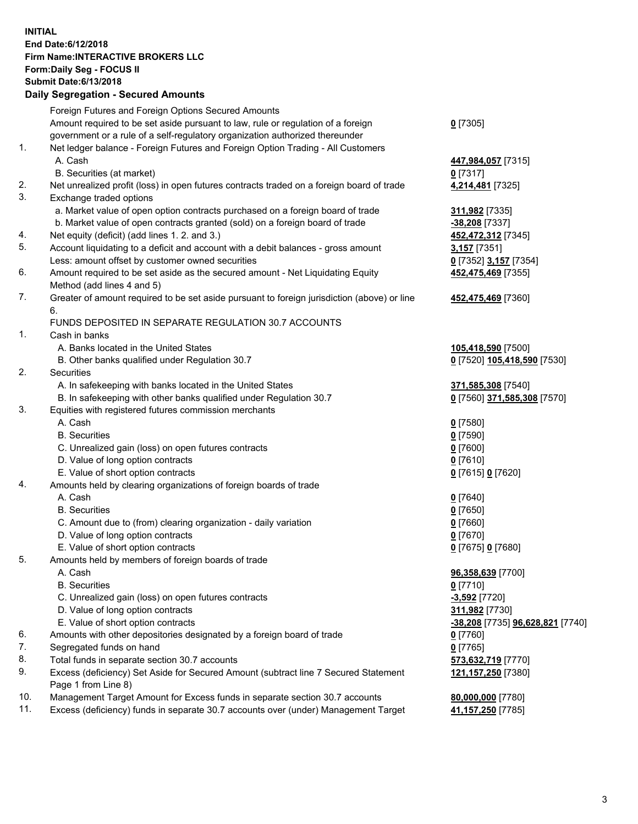## **INITIAL End Date:6/12/2018 Firm Name:INTERACTIVE BROKERS LLC Form:Daily Seg - FOCUS II Submit Date:6/13/2018 Daily Segregation - Secured Amounts**

|                | Daily Segregation - Secured Amounts                                                                        |                                  |
|----------------|------------------------------------------------------------------------------------------------------------|----------------------------------|
|                | Foreign Futures and Foreign Options Secured Amounts                                                        |                                  |
|                | Amount required to be set aside pursuant to law, rule or regulation of a foreign                           | $0$ [7305]                       |
|                | government or a rule of a self-regulatory organization authorized thereunder                               |                                  |
| $\mathbf{1}$ . | Net ledger balance - Foreign Futures and Foreign Option Trading - All Customers                            |                                  |
|                | A. Cash                                                                                                    | 447,984,057 [7315]               |
|                | B. Securities (at market)                                                                                  | $0$ [7317]                       |
| 2.             | Net unrealized profit (loss) in open futures contracts traded on a foreign board of trade                  | 4,214,481 [7325]                 |
| 3.             | Exchange traded options                                                                                    |                                  |
|                | a. Market value of open option contracts purchased on a foreign board of trade                             | 311,982 [7335]                   |
|                | b. Market value of open contracts granted (sold) on a foreign board of trade                               | -38,208 [7337]                   |
| 4.             | Net equity (deficit) (add lines 1. 2. and 3.)                                                              | 452,472,312 [7345]               |
| 5.             | Account liquidating to a deficit and account with a debit balances - gross amount                          | 3,157 [7351]                     |
|                | Less: amount offset by customer owned securities                                                           | 0 [7352] 3,157 [7354]            |
| 6.             | Amount required to be set aside as the secured amount - Net Liquidating Equity                             | 452,475,469 [7355]               |
|                | Method (add lines 4 and 5)                                                                                 |                                  |
| 7.             | Greater of amount required to be set aside pursuant to foreign jurisdiction (above) or line                | 452,475,469 [7360]               |
|                | 6.                                                                                                         |                                  |
|                | FUNDS DEPOSITED IN SEPARATE REGULATION 30.7 ACCOUNTS                                                       |                                  |
| 1.             | Cash in banks                                                                                              |                                  |
|                | A. Banks located in the United States                                                                      | 105,418,590 [7500]               |
| 2.             | B. Other banks qualified under Regulation 30.7<br><b>Securities</b>                                        | 0 [7520] 105,418,590 [7530]      |
|                | A. In safekeeping with banks located in the United States                                                  | 371,585,308 [7540]               |
|                | B. In safekeeping with other banks qualified under Regulation 30.7                                         | 0 [7560] 371,585,308 [7570]      |
| 3.             | Equities with registered futures commission merchants                                                      |                                  |
|                | A. Cash                                                                                                    | $0$ [7580]                       |
|                | <b>B.</b> Securities                                                                                       | $0$ [7590]                       |
|                | C. Unrealized gain (loss) on open futures contracts                                                        | $0$ [7600]                       |
|                | D. Value of long option contracts                                                                          | $0$ [7610]                       |
|                | E. Value of short option contracts                                                                         | 0 [7615] 0 [7620]                |
| 4.             | Amounts held by clearing organizations of foreign boards of trade                                          |                                  |
|                | A. Cash                                                                                                    | $0$ [7640]                       |
|                | <b>B.</b> Securities                                                                                       | $0$ [7650]                       |
|                | C. Amount due to (from) clearing organization - daily variation                                            | $0$ [7660]                       |
|                | D. Value of long option contracts                                                                          | $0$ [7670]                       |
|                | E. Value of short option contracts                                                                         | 0 [7675] 0 [7680]                |
| 5.             | Amounts held by members of foreign boards of trade                                                         |                                  |
|                | A. Cash                                                                                                    | 96,358,639 [7700]                |
|                | <b>B.</b> Securities                                                                                       | $0$ [7710]                       |
|                | C. Unrealized gain (loss) on open futures contracts                                                        | $-3,592$ [7720]                  |
|                | D. Value of long option contracts                                                                          | 311,982 [7730]                   |
|                | E. Value of short option contracts                                                                         | -38,208 [7735] 96,628,821 [7740] |
| 6.             | Amounts with other depositories designated by a foreign board of trade                                     | 0 [7760]                         |
| 7.             | Segregated funds on hand                                                                                   | $0$ [7765]                       |
| 8.             | Total funds in separate section 30.7 accounts                                                              | 573,632,719 [7770]               |
| 9.             | Excess (deficiency) Set Aside for Secured Amount (subtract line 7 Secured Statement<br>Page 1 from Line 8) | 121, 157, 250 [7380]             |
| 10.            | Management Target Amount for Excess funds in separate section 30.7 accounts                                | 80,000,000 [7780]                |
| 11.            | Excess (deficiency) funds in separate 30.7 accounts over (under) Management Target                         | 41,157,250 [7785]                |
|                |                                                                                                            |                                  |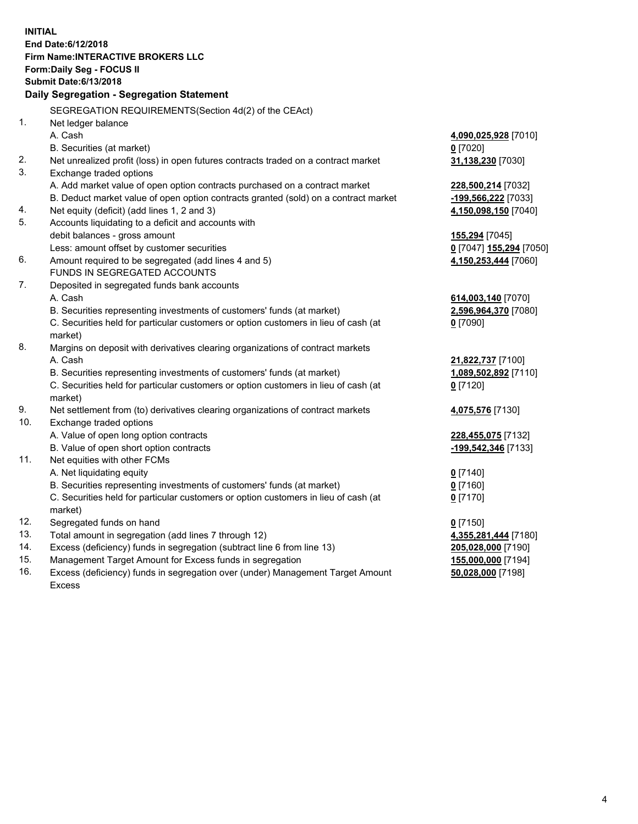**INITIAL End Date:6/12/2018 Firm Name:INTERACTIVE BROKERS LLC Form:Daily Seg - FOCUS II Submit Date:6/13/2018 Daily Segregation - Segregation Statement** SEGREGATION REQUIREMENTS(Section 4d(2) of the CEAct) 1. Net ledger balance A. Cash **4,090,025,928** [7010] B. Securities (at market) **0** [7020] 2. Net unrealized profit (loss) in open futures contracts traded on a contract market **31,138,230** [7030] 3. Exchange traded options A. Add market value of open option contracts purchased on a contract market **228,500,214** [7032] B. Deduct market value of open option contracts granted (sold) on a contract market **-199,566,222** [7033] 4. Net equity (deficit) (add lines 1, 2 and 3) **4,150,098,150** [7040] 5. Accounts liquidating to a deficit and accounts with debit balances - gross amount **155,294** [7045] Less: amount offset by customer securities **0** [7047] **155,294** [7050] 6. Amount required to be segregated (add lines 4 and 5) **4,150,253,444** [7060] FUNDS IN SEGREGATED ACCOUNTS 7. Deposited in segregated funds bank accounts A. Cash **614,003,140** [7070] B. Securities representing investments of customers' funds (at market) **2,596,964,370** [7080] C. Securities held for particular customers or option customers in lieu of cash (at market) **0** [7090] 8. Margins on deposit with derivatives clearing organizations of contract markets A. Cash **21,822,737** [7100] B. Securities representing investments of customers' funds (at market) **1,089,502,892** [7110] C. Securities held for particular customers or option customers in lieu of cash (at market) **0** [7120] 9. Net settlement from (to) derivatives clearing organizations of contract markets **4,075,576** [7130] 10. Exchange traded options A. Value of open long option contracts **228,455,075** [7132] B. Value of open short option contracts **-199,542,346** [7133] 11. Net equities with other FCMs A. Net liquidating equity **0** [7140] B. Securities representing investments of customers' funds (at market) **0** [7160] C. Securities held for particular customers or option customers in lieu of cash (at market) **0** [7170] 12. Segregated funds on hand **0** [7150] 13. Total amount in segregation (add lines 7 through 12) **4,355,281,444** [7180] 14. Excess (deficiency) funds in segregation (subtract line 6 from line 13) **205,028,000** [7190] 15. Management Target Amount for Excess funds in segregation **155,000,000** [7194]

16. Excess (deficiency) funds in segregation over (under) Management Target Amount Excess

**50,028,000** [7198]